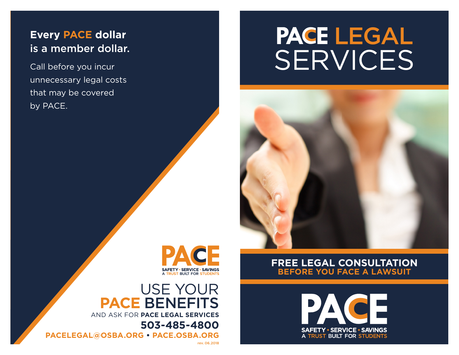### **Every PACE dollar** is a member dollar.

Call before you incur unnecessary legal costs that may be covered by PACE.

# PACE LEGAL SERVICES



#### **FREE LEGAL CONSULTATION BEFORE YOU FACE A LAWSUIT**

**SAFETY • SERVICE • SAVINGS TRUST BUILT FOR STUDENTS** 



### USE YOUR **PACE** BENEFITS AND ASK FOR **PACE LEGAL SERVICES**

**503-485-4800 PACELEGAL@OSBA.ORG • PACE.OSBA.ORG**

rev. 06.2018